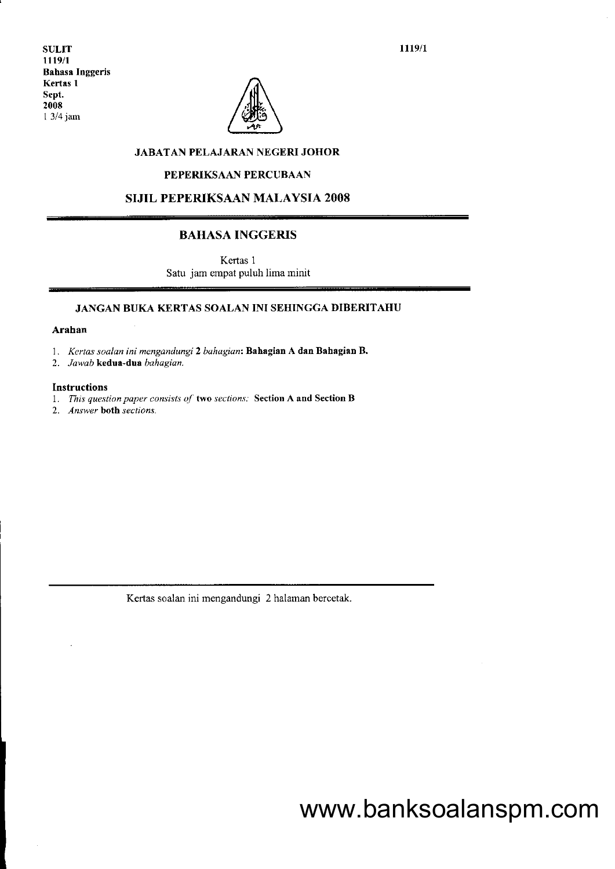1119/1

SULIT 1119/1 Bahasa Inggeris Kertss I Sept. 2008 I 3/4jam



## JABATAN PELAJARAN NEGERI JOHOR

### PEPERIKSAAN PERCUBAAN

SIJIL PEPERIKSAAN MALAYSIA 2OO8

## BAHASA INGGERIS

Kertas 1 Satu jam empat puluh lima minit

## JANGAN BUKA KERTAS SOALAN INI SEHINGGA DIBERITAHU

#### Arahan

1. Kertas soalan ini mengandungi 2 bahagian: Bahagian A dan Bahagian B.

2. Jawab kedua-dua bahagian.

### Instructions

1. This question paper consists of two sections. Section A and Section B

2. Answer both sections.

Kertas soalan ini mengandungi 2 halaman bercetak.

# www.banksoalanspm.com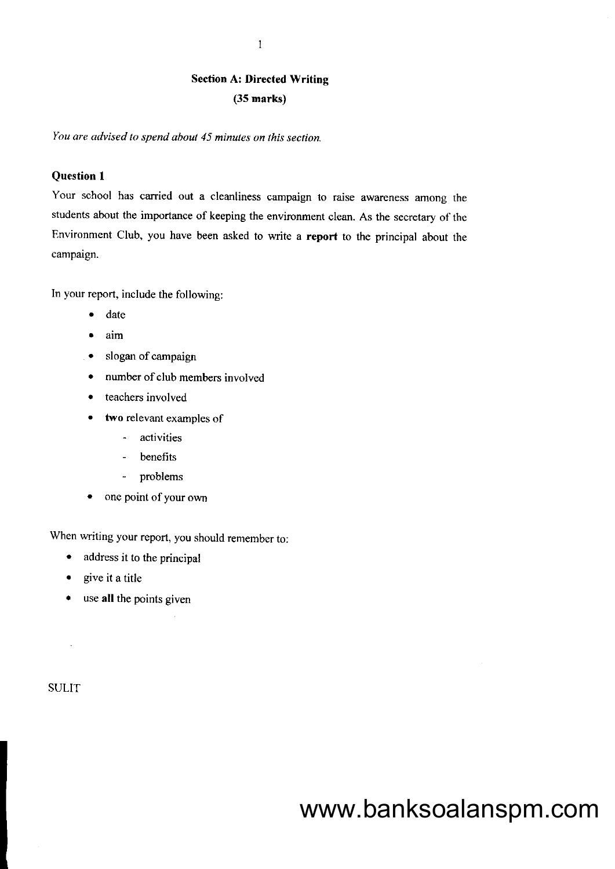# Section A: Directed Writing (35 marks)

You are advised to spend about 45 minules on this section.

# Question I

Your school has carried out a cleanliness campaign to raise awareness among the students about the importance of keeping the environment clean. As the secretary of thc Environment Club, you have been asked to write a report to the principal about the campaign.

In your report. include the following:

- date
- $\bullet$  aim
- slogan of campaign
- number of club members involved
- . teachers involved
- . two relevant examples of
	- activities
	- benefits
	- problems
- one point of your own

When writing your report, you should remember to;

- address it to the principal
- . give it a title
- . use all the points given

**SULIT** 

 $\sim$ 

# www.banksoalanspm.com